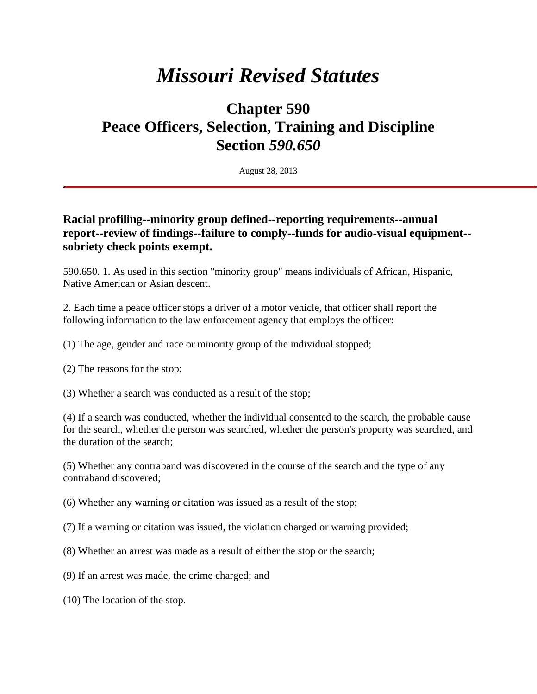## *Missouri Revised Statutes*

## **Chapter 590 Peace Officers, Selection, Training and Discipline Section** *590.650*

August 28, 2013

## **Racial profiling--minority group defined--reporting requirements--annual report--review of findings--failure to comply--funds for audio-visual equipment- sobriety check points exempt.**

590.650. 1. As used in this section "minority group" means individuals of African, Hispanic, Native American or Asian descent.

2. Each time a peace officer stops a driver of a motor vehicle, that officer shall report the following information to the law enforcement agency that employs the officer:

(1) The age, gender and race or minority group of the individual stopped;

(2) The reasons for the stop;

(3) Whether a search was conducted as a result of the stop;

(4) If a search was conducted, whether the individual consented to the search, the probable cause for the search, whether the person was searched, whether the person's property was searched, and the duration of the search;

(5) Whether any contraband was discovered in the course of the search and the type of any contraband discovered;

(6) Whether any warning or citation was issued as a result of the stop;

(7) If a warning or citation was issued, the violation charged or warning provided;

(8) Whether an arrest was made as a result of either the stop or the search;

(9) If an arrest was made, the crime charged; and

(10) The location of the stop.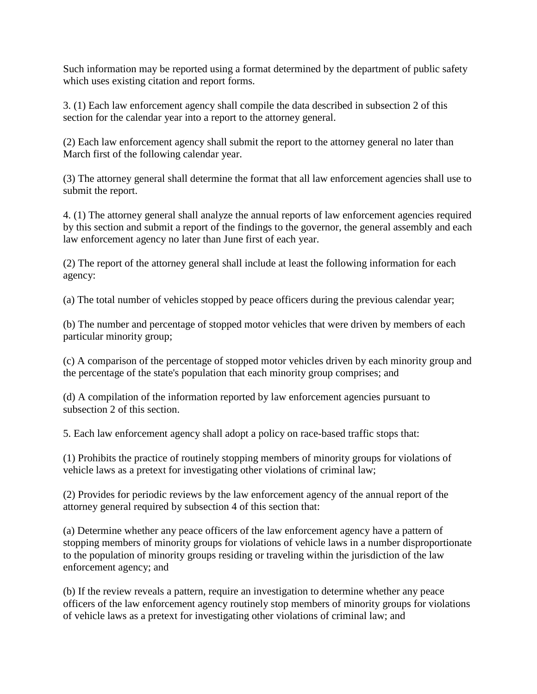Such information may be reported using a format determined by the department of public safety which uses existing citation and report forms.

3. (1) Each law enforcement agency shall compile the data described in subsection 2 of this section for the calendar year into a report to the attorney general.

(2) Each law enforcement agency shall submit the report to the attorney general no later than March first of the following calendar year.

(3) The attorney general shall determine the format that all law enforcement agencies shall use to submit the report.

4. (1) The attorney general shall analyze the annual reports of law enforcement agencies required by this section and submit a report of the findings to the governor, the general assembly and each law enforcement agency no later than June first of each year.

(2) The report of the attorney general shall include at least the following information for each agency:

(a) The total number of vehicles stopped by peace officers during the previous calendar year;

(b) The number and percentage of stopped motor vehicles that were driven by members of each particular minority group;

(c) A comparison of the percentage of stopped motor vehicles driven by each minority group and the percentage of the state's population that each minority group comprises; and

(d) A compilation of the information reported by law enforcement agencies pursuant to subsection 2 of this section.

5. Each law enforcement agency shall adopt a policy on race-based traffic stops that:

(1) Prohibits the practice of routinely stopping members of minority groups for violations of vehicle laws as a pretext for investigating other violations of criminal law;

(2) Provides for periodic reviews by the law enforcement agency of the annual report of the attorney general required by subsection 4 of this section that:

(a) Determine whether any peace officers of the law enforcement agency have a pattern of stopping members of minority groups for violations of vehicle laws in a number disproportionate to the population of minority groups residing or traveling within the jurisdiction of the law enforcement agency; and

(b) If the review reveals a pattern, require an investigation to determine whether any peace officers of the law enforcement agency routinely stop members of minority groups for violations of vehicle laws as a pretext for investigating other violations of criminal law; and